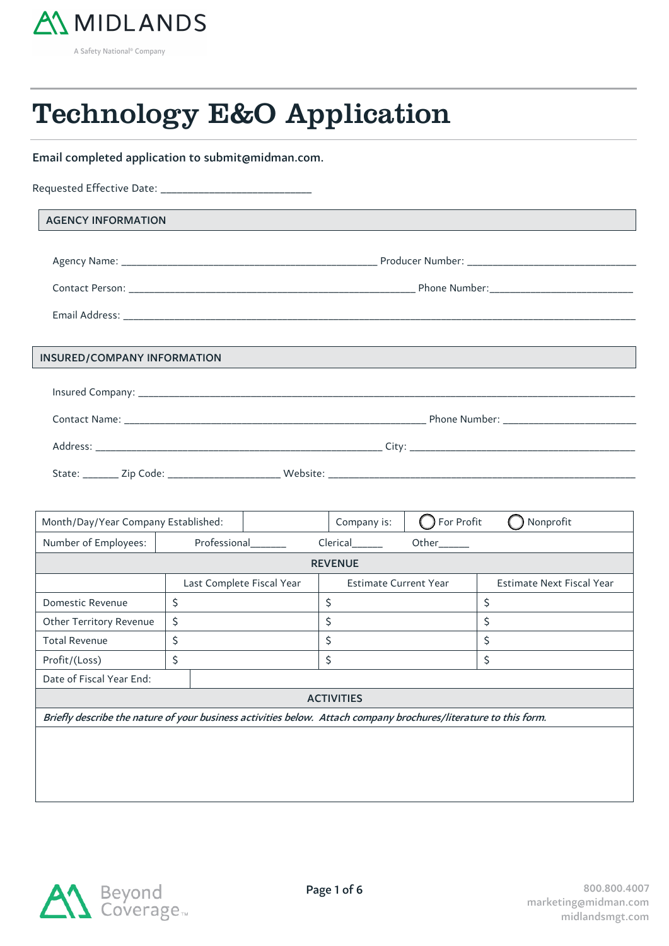

55

55

## Technology E&O Application

Email completed application to submit@midman.com.

| <b>AGENCY INFORMATION</b>   | <u> 1989 - Johann Stoff, fransk politiker (d. 1989)</u>                                                                |  |
|-----------------------------|------------------------------------------------------------------------------------------------------------------------|--|
|                             |                                                                                                                        |  |
|                             |                                                                                                                        |  |
|                             |                                                                                                                        |  |
|                             |                                                                                                                        |  |
|                             |                                                                                                                        |  |
| INSURED/COMPANY INFORMATION | <u> 1989 - Andrea Santa Andrea Santa Andrea Santa Andrea Santa Andrea Santa Andrea Santa Andrea Santa Andrea Santa</u> |  |
|                             |                                                                                                                        |  |
|                             |                                                                                                                        |  |
|                             |                                                                                                                        |  |
|                             |                                                                                                                        |  |

| Month/Day/Year Company Established:                                                                              |                           |    | Company is:                  | For Profit | Nonprofit                        |
|------------------------------------------------------------------------------------------------------------------|---------------------------|----|------------------------------|------------|----------------------------------|
| Number of Employees:                                                                                             | Professional              |    | Clerical                     | Other_____ |                                  |
|                                                                                                                  |                           |    | <b>REVENUE</b>               |            |                                  |
|                                                                                                                  | Last Complete Fiscal Year |    | <b>Estimate Current Year</b> |            | <b>Estimate Next Fiscal Year</b> |
| Domestic Revenue                                                                                                 | \$                        | \$ |                              |            | \$                               |
| Other Territory Revenue                                                                                          | \$                        | \$ |                              |            | \$                               |
| <b>Total Revenue</b>                                                                                             | \$                        | \$ |                              |            | \$                               |
| Profit/(Loss)                                                                                                    | \$                        | \$ |                              |            | \$                               |
| Date of Fiscal Year End:                                                                                         |                           |    |                              |            |                                  |
| <b>ACTIVITIES</b>                                                                                                |                           |    |                              |            |                                  |
| Briefly describe the nature of your business activities below. Attach company brochures/literature to this form. |                           |    |                              |            |                                  |
|                                                                                                                  |                           |    |                              |            |                                  |
|                                                                                                                  |                           |    |                              |            |                                  |
|                                                                                                                  |                           |    |                              |            |                                  |

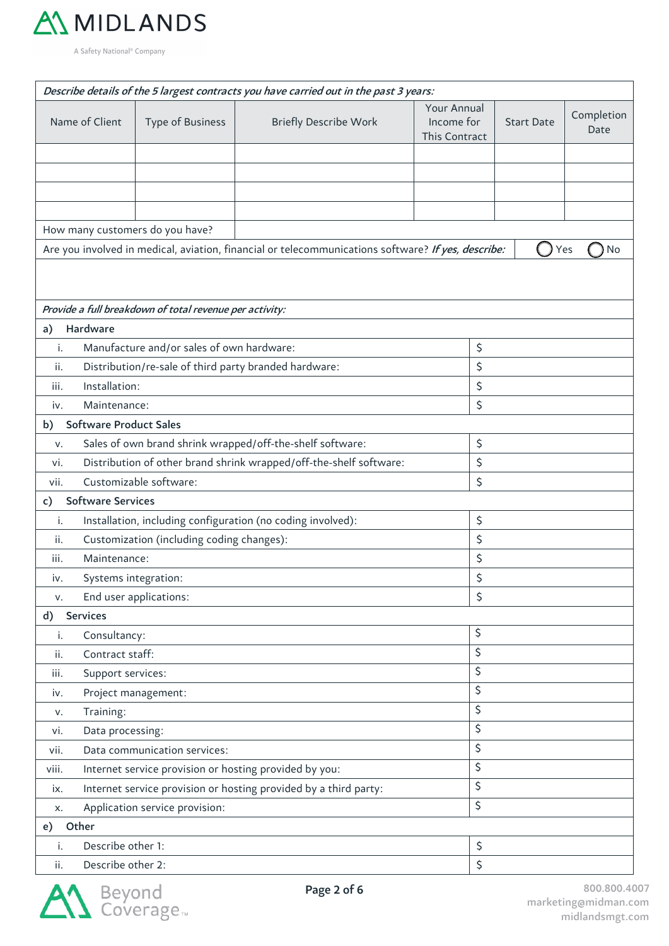

|                                                                           |                                                                   |                                                         | Describe details of the 5 largest contracts you have carried out in the past 3 years:              |    |                                                                 |    |                    |  |
|---------------------------------------------------------------------------|-------------------------------------------------------------------|---------------------------------------------------------|----------------------------------------------------------------------------------------------------|----|-----------------------------------------------------------------|----|--------------------|--|
|                                                                           | Name of Client                                                    | Type of Business                                        | <b>Briefly Describe Work</b>                                                                       |    | Your Annual<br>Income for<br><b>Start Date</b><br>This Contract |    | Completion<br>Date |  |
|                                                                           |                                                                   |                                                         |                                                                                                    |    |                                                                 |    |                    |  |
|                                                                           |                                                                   |                                                         |                                                                                                    |    |                                                                 |    |                    |  |
|                                                                           |                                                                   |                                                         |                                                                                                    |    |                                                                 |    |                    |  |
|                                                                           |                                                                   |                                                         |                                                                                                    |    |                                                                 |    |                    |  |
|                                                                           |                                                                   | How many customers do you have?                         |                                                                                                    |    |                                                                 |    |                    |  |
|                                                                           |                                                                   |                                                         | Are you involved in medical, aviation, financial or telecommunications software? If yes, describe: |    |                                                                 |    | Yes<br>No          |  |
|                                                                           |                                                                   |                                                         |                                                                                                    |    |                                                                 |    |                    |  |
|                                                                           |                                                                   |                                                         |                                                                                                    |    |                                                                 |    |                    |  |
|                                                                           |                                                                   | Provide a full breakdown of total revenue per activity: |                                                                                                    |    |                                                                 |    |                    |  |
| a)                                                                        | Hardware                                                          |                                                         |                                                                                                    |    |                                                                 |    |                    |  |
| i.                                                                        |                                                                   | Manufacture and/or sales of own hardware:               |                                                                                                    |    | \$                                                              |    |                    |  |
| ii.                                                                       |                                                                   |                                                         | Distribution/re-sale of third party branded hardware:                                              |    | \$                                                              |    |                    |  |
| iii.                                                                      | Installation:                                                     |                                                         |                                                                                                    |    | \$                                                              |    |                    |  |
| iv.                                                                       | Maintenance:                                                      |                                                         |                                                                                                    |    | \$                                                              |    |                    |  |
| b)                                                                        | <b>Software Product Sales</b>                                     |                                                         |                                                                                                    |    |                                                                 |    |                    |  |
| v.                                                                        |                                                                   |                                                         | Sales of own brand shrink wrapped/off-the-shelf software:                                          |    | \$                                                              |    |                    |  |
| Distribution of other brand shrink wrapped/off-the-shelf software:<br>vi. |                                                                   |                                                         |                                                                                                    |    |                                                                 | \$ |                    |  |
| Customizable software:<br>vii.                                            |                                                                   |                                                         |                                                                                                    | \$ |                                                                 |    |                    |  |
| c)                                                                        | <b>Software Services</b>                                          |                                                         |                                                                                                    |    |                                                                 |    |                    |  |
| i.                                                                        | Installation, including configuration (no coding involved):<br>\$ |                                                         |                                                                                                    |    |                                                                 |    |                    |  |
| Customization (including coding changes):<br>ii.                          |                                                                   |                                                         |                                                                                                    |    | \$                                                              |    |                    |  |
| iii.                                                                      | Maintenance:                                                      |                                                         |                                                                                                    |    | \$                                                              |    |                    |  |
| IV.                                                                       | Systems integration:                                              |                                                         |                                                                                                    |    | \$                                                              |    |                    |  |
| v.                                                                        |                                                                   | End user applications:                                  |                                                                                                    |    | \$                                                              |    |                    |  |
| d)                                                                        | <b>Services</b>                                                   |                                                         |                                                                                                    |    |                                                                 |    |                    |  |
| i.                                                                        | Consultancy:                                                      |                                                         |                                                                                                    |    | \$                                                              |    |                    |  |
| ii.                                                                       | Contract staff:                                                   |                                                         |                                                                                                    |    | \$                                                              |    |                    |  |
| iii.                                                                      | Support services:                                                 |                                                         |                                                                                                    |    | \$                                                              |    |                    |  |
| iv.                                                                       |                                                                   | Project management:                                     |                                                                                                    |    | \$                                                              |    |                    |  |
| v.                                                                        | \$<br>Training:                                                   |                                                         |                                                                                                    |    |                                                                 |    |                    |  |
| vi.                                                                       | \$<br>Data processing:                                            |                                                         |                                                                                                    |    |                                                                 |    |                    |  |
| vii.                                                                      | \$<br>Data communication services:                                |                                                         |                                                                                                    |    |                                                                 |    |                    |  |
| viii.                                                                     | Internet service provision or hosting provided by you:            |                                                         |                                                                                                    |    | \$                                                              |    |                    |  |
| Internet service provision or hosting provided by a third party:<br>ix.   |                                                                   |                                                         |                                                                                                    |    | \$                                                              |    |                    |  |
| x.                                                                        | Application service provision:                                    |                                                         |                                                                                                    |    |                                                                 |    |                    |  |
| e)                                                                        | Other                                                             |                                                         |                                                                                                    |    |                                                                 |    |                    |  |
| i.                                                                        | Describe other 1:                                                 |                                                         |                                                                                                    |    | \$                                                              |    |                    |  |
| ii.                                                                       | Describe other 2:                                                 |                                                         |                                                                                                    |    | \$                                                              |    |                    |  |

$$
\sum_{i=1}^n\mathbf{A}_i^{\mathsf{T}}
$$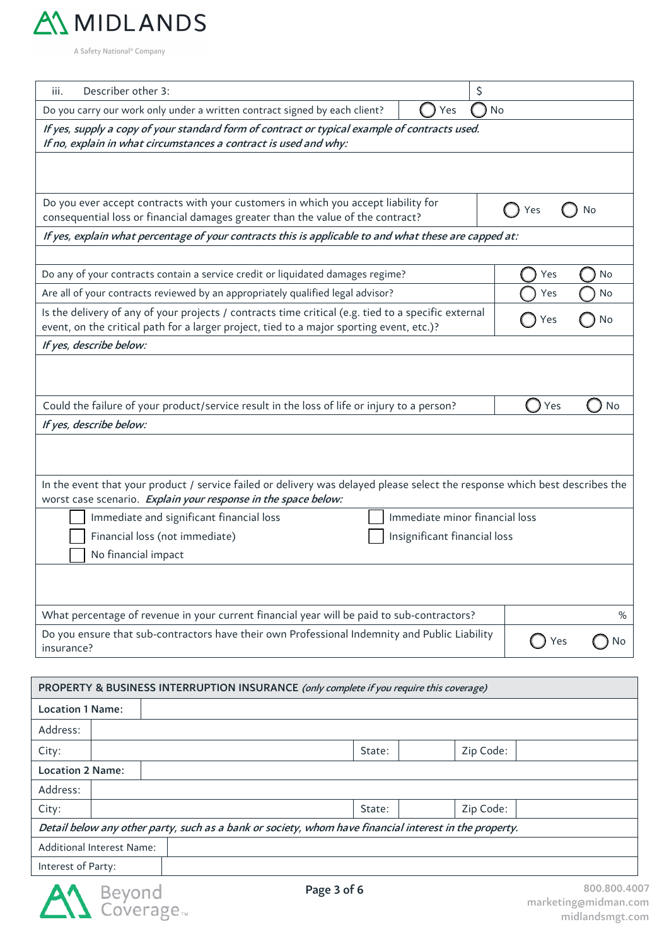

| Describer other 3:<br>\$<br>iii.                                                                                                                                                                             |           |  |  |  |  |
|--------------------------------------------------------------------------------------------------------------------------------------------------------------------------------------------------------------|-----------|--|--|--|--|
| Do you carry our work only under a written contract signed by each client?<br>Yes<br>No                                                                                                                      |           |  |  |  |  |
| If yes, supply a copy of your standard form of contract or typical example of contracts used.<br>If no, explain in what circumstances a contract is used and why:                                            |           |  |  |  |  |
|                                                                                                                                                                                                              |           |  |  |  |  |
| Do you ever accept contracts with your customers in which you accept liability for<br>consequential loss or financial damages greater than the value of the contract?                                        | Yes<br>No |  |  |  |  |
| If yes, explain what percentage of your contracts this is applicable to and what these are capped at:                                                                                                        |           |  |  |  |  |
|                                                                                                                                                                                                              |           |  |  |  |  |
| Do any of your contracts contain a service credit or liquidated damages regime?                                                                                                                              | No<br>Yes |  |  |  |  |
| Are all of your contracts reviewed by an appropriately qualified legal advisor?                                                                                                                              | No<br>Yes |  |  |  |  |
| Is the delivery of any of your projects / contracts time critical (e.g. tied to a specific external<br>Yes<br>No<br>event, on the critical path for a larger project, tied to a major sporting event, etc.)? |           |  |  |  |  |
| If yes, describe below:                                                                                                                                                                                      |           |  |  |  |  |
| Could the failure of your product/service result in the loss of life or injury to a person?                                                                                                                  | Yes<br>No |  |  |  |  |
| If yes, describe below:                                                                                                                                                                                      |           |  |  |  |  |
|                                                                                                                                                                                                              |           |  |  |  |  |
| In the event that your product / service failed or delivery was delayed please select the response which best describes the<br>worst case scenario. Explain your response in the space below:                |           |  |  |  |  |
| Immediate minor financial loss<br>Immediate and significant financial loss                                                                                                                                   |           |  |  |  |  |
| Financial loss (not immediate)<br>Insignificant financial loss                                                                                                                                               |           |  |  |  |  |
| No financial impact                                                                                                                                                                                          |           |  |  |  |  |
|                                                                                                                                                                                                              |           |  |  |  |  |
| What percentage of revenue in your current financial year will be paid to sub-contractors?                                                                                                                   | %         |  |  |  |  |
| Do you ensure that sub-contractors have their own Professional Indemnity and Public Liability<br>insurance?                                                                                                  | Yes<br>No |  |  |  |  |

| PROPERTY & BUSINESS INTERRUPTION INSURANCE (only complete if you require this coverage)                |  |  |        |           |  |  |
|--------------------------------------------------------------------------------------------------------|--|--|--------|-----------|--|--|
| <b>Location 1 Name:</b>                                                                                |  |  |        |           |  |  |
| Address:                                                                                               |  |  |        |           |  |  |
| City:                                                                                                  |  |  | State: | Zip Code: |  |  |
| <b>Location 2 Name:</b>                                                                                |  |  |        |           |  |  |
| Address:                                                                                               |  |  |        |           |  |  |
| City:                                                                                                  |  |  | State: | Zip Code: |  |  |
| Detail below any other party, such as a bank or society, whom have financial interest in the property. |  |  |        |           |  |  |
| Additional Interest Name:                                                                              |  |  |        |           |  |  |
| Interest of Party:                                                                                     |  |  |        |           |  |  |

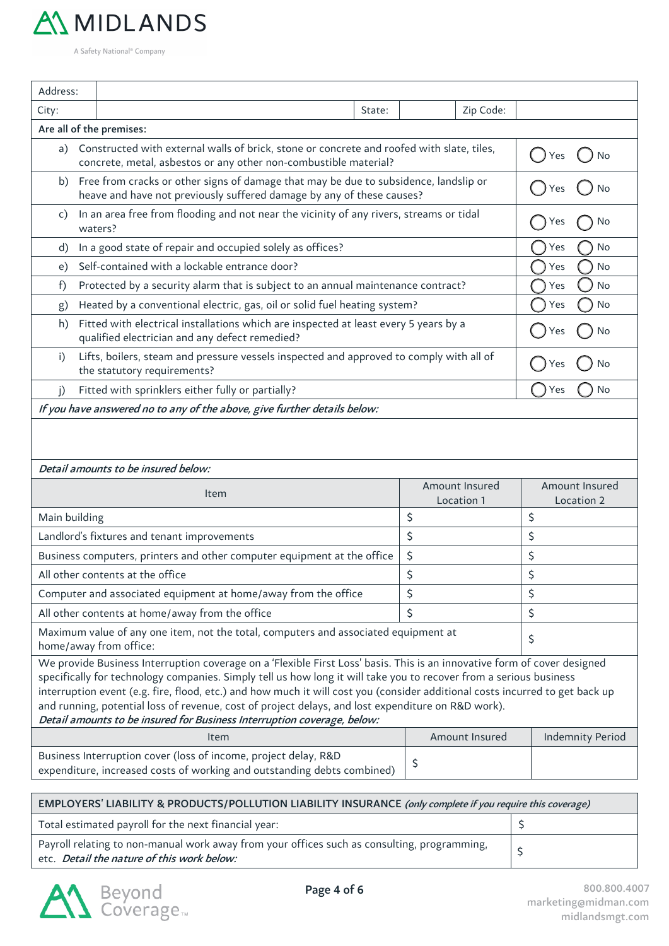

| Address:                                                                                                                                                                                                                                                                                                                                                                                                                                                                                                                                                        |                                                                                         |                                                                                                                                        |        |                              |                                     |
|-----------------------------------------------------------------------------------------------------------------------------------------------------------------------------------------------------------------------------------------------------------------------------------------------------------------------------------------------------------------------------------------------------------------------------------------------------------------------------------------------------------------------------------------------------------------|-----------------------------------------------------------------------------------------|----------------------------------------------------------------------------------------------------------------------------------------|--------|------------------------------|-------------------------------------|
| City:                                                                                                                                                                                                                                                                                                                                                                                                                                                                                                                                                           |                                                                                         |                                                                                                                                        | State: | Zip Code:                    |                                     |
|                                                                                                                                                                                                                                                                                                                                                                                                                                                                                                                                                                 |                                                                                         | Are all of the premises:                                                                                                               |        |                              |                                     |
| Constructed with external walls of brick, stone or concrete and roofed with slate, tiles,<br>a)<br>concrete, metal, asbestos or any other non-combustible material?                                                                                                                                                                                                                                                                                                                                                                                             |                                                                                         |                                                                                                                                        |        |                              | No<br>Yes                           |
| Free from cracks or other signs of damage that may be due to subsidence, landslip or<br>b)<br>heave and have not previously suffered damage by any of these causes?                                                                                                                                                                                                                                                                                                                                                                                             |                                                                                         |                                                                                                                                        |        |                              | No                                  |
| c)                                                                                                                                                                                                                                                                                                                                                                                                                                                                                                                                                              | In an area free from flooding and not near the vicinity of any rivers, streams or tidal | No<br>Y es                                                                                                                             |        |                              |                                     |
| d)                                                                                                                                                                                                                                                                                                                                                                                                                                                                                                                                                              |                                                                                         | In a good state of repair and occupied solely as offices?                                                                              |        |                              | No<br>Yes                           |
| e)                                                                                                                                                                                                                                                                                                                                                                                                                                                                                                                                                              |                                                                                         | Self-contained with a lockable entrance door?                                                                                          |        |                              | No<br>Yes                           |
| f)                                                                                                                                                                                                                                                                                                                                                                                                                                                                                                                                                              |                                                                                         | Protected by a security alarm that is subject to an annual maintenance contract?                                                       |        |                              | <b>No</b><br>Yes                    |
| g)                                                                                                                                                                                                                                                                                                                                                                                                                                                                                                                                                              |                                                                                         | Heated by a conventional electric, gas, oil or solid fuel heating system?                                                              |        |                              | No<br>Yes                           |
| h)                                                                                                                                                                                                                                                                                                                                                                                                                                                                                                                                                              |                                                                                         | Fitted with electrical installations which are inspected at least every 5 years by a<br>qualified electrician and any defect remedied? |        |                              | No<br>Yes                           |
| Lifts, boilers, steam and pressure vessels inspected and approved to comply with all of<br>i)<br>the statutory requirements?                                                                                                                                                                                                                                                                                                                                                                                                                                    |                                                                                         |                                                                                                                                        |        |                              | No<br>Yes                           |
| i)                                                                                                                                                                                                                                                                                                                                                                                                                                                                                                                                                              | Fitted with sprinklers either fully or partially?                                       |                                                                                                                                        |        |                              | No<br>Yes                           |
|                                                                                                                                                                                                                                                                                                                                                                                                                                                                                                                                                                 |                                                                                         | If you have answered no to any of the above, give further details below:                                                               |        |                              |                                     |
|                                                                                                                                                                                                                                                                                                                                                                                                                                                                                                                                                                 |                                                                                         | Detail amounts to be insured below:                                                                                                    |        |                              |                                     |
|                                                                                                                                                                                                                                                                                                                                                                                                                                                                                                                                                                 |                                                                                         | Item                                                                                                                                   |        | Amount Insured<br>Location 1 | <b>Amount Insured</b><br>Location 2 |
| Main building                                                                                                                                                                                                                                                                                                                                                                                                                                                                                                                                                   |                                                                                         |                                                                                                                                        |        | \$                           | \$                                  |
|                                                                                                                                                                                                                                                                                                                                                                                                                                                                                                                                                                 |                                                                                         | Landlord's fixtures and tenant improvements                                                                                            |        | \$                           | \$                                  |
|                                                                                                                                                                                                                                                                                                                                                                                                                                                                                                                                                                 |                                                                                         | Business computers, printers and other computer equipment at the office                                                                |        | \$                           | \$                                  |
|                                                                                                                                                                                                                                                                                                                                                                                                                                                                                                                                                                 |                                                                                         | All other contents at the office                                                                                                       |        | \$                           | \$                                  |
|                                                                                                                                                                                                                                                                                                                                                                                                                                                                                                                                                                 |                                                                                         | Computer and associated equipment at home/away from the office                                                                         |        | \$                           | \$                                  |
|                                                                                                                                                                                                                                                                                                                                                                                                                                                                                                                                                                 |                                                                                         | All other contents at home/away from the office                                                                                        |        | \$                           | \$                                  |
| Maximum value of any one item, not the total, computers and associated equipment at<br>home/away from office:                                                                                                                                                                                                                                                                                                                                                                                                                                                   |                                                                                         |                                                                                                                                        |        |                              | \$                                  |
| We provide Business Interruption coverage on a 'Flexible First Loss' basis. This is an innovative form of cover designed<br>specifically for technology companies. Simply tell us how long it will take you to recover from a serious business<br>interruption event (e.g. fire, flood, etc.) and how much it will cost you (consider additional costs incurred to get back up<br>and running, potential loss of revenue, cost of project delays, and lost expenditure on R&D work).<br>Detail amounts to be insured for Business Interruption coverage, below: |                                                                                         |                                                                                                                                        |        |                              |                                     |
|                                                                                                                                                                                                                                                                                                                                                                                                                                                                                                                                                                 |                                                                                         | Item                                                                                                                                   |        | Amount Insured               | <b>Indemnity Period</b>             |
| Business Interruption cover (loss of income, project delay, R&D<br>expenditure, increased costs of working and outstanding debts combined)                                                                                                                                                                                                                                                                                                                                                                                                                      |                                                                                         |                                                                                                                                        |        | \$                           |                                     |

| EMPLOYERS' LIABILITY & PRODUCTS/POLLUTION LIABILITY INSURANCE (only complete if you require this coverage)                                |  |  |  |
|-------------------------------------------------------------------------------------------------------------------------------------------|--|--|--|
| Total estimated payroll for the next financial year:                                                                                      |  |  |  |
| Payroll relating to non-manual work away from your offices such as consulting, programming,<br>etc. Detail the nature of this work below: |  |  |  |

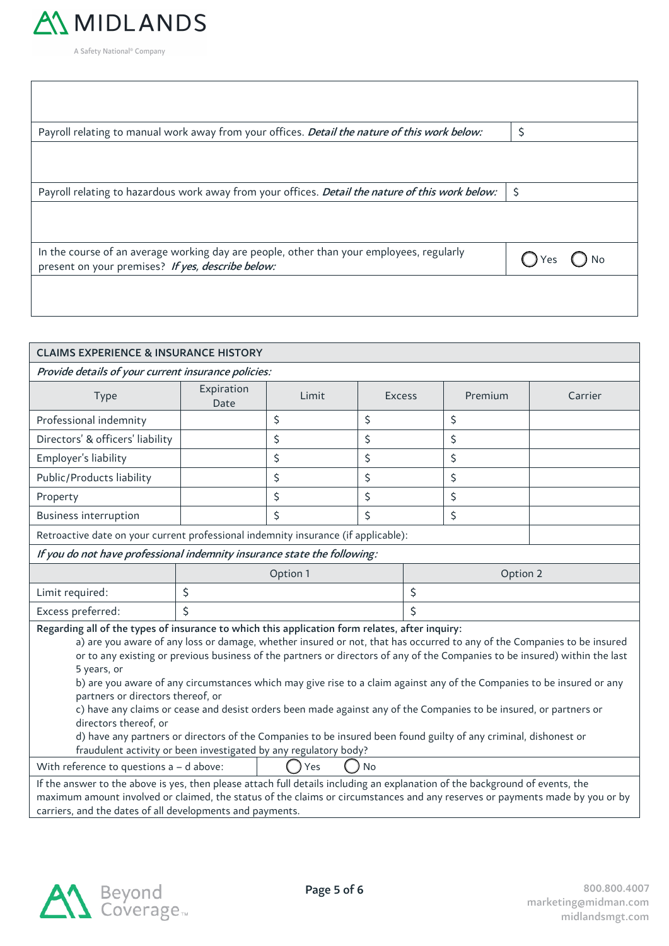

| Payroll relating to manual work away from your offices. Detail the nature of this work below:                                                 | \$       |
|-----------------------------------------------------------------------------------------------------------------------------------------------|----------|
|                                                                                                                                               |          |
| Payroll relating to hazardous work away from your offices. Detail the nature of this work below:                                              | $\zeta$  |
|                                                                                                                                               |          |
| In the course of an average working day are people, other than your employees, regularly<br>present on your premises? If yes, describe below: | $()$ Yes |
|                                                                                                                                               |          |

| <b>CLAIMS EXPERIENCE &amp; INSURANCE HISTORY</b>                                                                                                                                                                                                                                                                                                                                                                                                                                                                                                                                                                                                                                                                                                                                                                                                                              |                    |                      |               |    |         |         |
|-------------------------------------------------------------------------------------------------------------------------------------------------------------------------------------------------------------------------------------------------------------------------------------------------------------------------------------------------------------------------------------------------------------------------------------------------------------------------------------------------------------------------------------------------------------------------------------------------------------------------------------------------------------------------------------------------------------------------------------------------------------------------------------------------------------------------------------------------------------------------------|--------------------|----------------------|---------------|----|---------|---------|
| Provide details of your current insurance policies:                                                                                                                                                                                                                                                                                                                                                                                                                                                                                                                                                                                                                                                                                                                                                                                                                           |                    |                      |               |    |         |         |
| Type                                                                                                                                                                                                                                                                                                                                                                                                                                                                                                                                                                                                                                                                                                                                                                                                                                                                          | Expiration<br>Date | Limit                | <b>Excess</b> |    | Premium | Carrier |
| Professional indemnity                                                                                                                                                                                                                                                                                                                                                                                                                                                                                                                                                                                                                                                                                                                                                                                                                                                        |                    | \$                   | \$            |    | \$      |         |
| Directors' & officers' liability                                                                                                                                                                                                                                                                                                                                                                                                                                                                                                                                                                                                                                                                                                                                                                                                                                              |                    | \$                   | \$            |    | \$      |         |
| Employer's liability                                                                                                                                                                                                                                                                                                                                                                                                                                                                                                                                                                                                                                                                                                                                                                                                                                                          |                    | \$                   | \$            |    | \$      |         |
| Public/Products liability                                                                                                                                                                                                                                                                                                                                                                                                                                                                                                                                                                                                                                                                                                                                                                                                                                                     |                    | \$                   | \$            |    | \$      |         |
| Property                                                                                                                                                                                                                                                                                                                                                                                                                                                                                                                                                                                                                                                                                                                                                                                                                                                                      |                    | \$                   | \$            |    | \$      |         |
| <b>Business interruption</b>                                                                                                                                                                                                                                                                                                                                                                                                                                                                                                                                                                                                                                                                                                                                                                                                                                                  |                    | \$                   | \$            |    | \$      |         |
| Retroactive date on your current professional indemnity insurance (if applicable):                                                                                                                                                                                                                                                                                                                                                                                                                                                                                                                                                                                                                                                                                                                                                                                            |                    |                      |               |    |         |         |
| If you do not have professional indemnity insurance state the following:                                                                                                                                                                                                                                                                                                                                                                                                                                                                                                                                                                                                                                                                                                                                                                                                      |                    |                      |               |    |         |         |
|                                                                                                                                                                                                                                                                                                                                                                                                                                                                                                                                                                                                                                                                                                                                                                                                                                                                               |                    | Option 1<br>Option 2 |               |    |         |         |
| Limit required:                                                                                                                                                                                                                                                                                                                                                                                                                                                                                                                                                                                                                                                                                                                                                                                                                                                               | \$                 |                      |               | \$ |         |         |
| Excess preferred:                                                                                                                                                                                                                                                                                                                                                                                                                                                                                                                                                                                                                                                                                                                                                                                                                                                             | Ś                  |                      |               | Ś  |         |         |
| Regarding all of the types of insurance to which this application form relates, after inquiry:<br>a) are you aware of any loss or damage, whether insured or not, that has occurred to any of the Companies to be insured<br>or to any existing or previous business of the partners or directors of any of the Companies to be insured) within the last<br>5 years, or<br>b) are you aware of any circumstances which may give rise to a claim against any of the Companies to be insured or any<br>partners or directors thereof, or<br>c) have any claims or cease and desist orders been made against any of the Companies to be insured, or partners or<br>directors thereof, or<br>d) have any partners or directors of the Companies to be insured been found guilty of any criminal, dishonest or<br>fraudulent activity or been investigated by any regulatory body? |                    |                      |               |    |         |         |
| With reference to questions a - d above:<br><b>No</b><br>Yes                                                                                                                                                                                                                                                                                                                                                                                                                                                                                                                                                                                                                                                                                                                                                                                                                  |                    |                      |               |    |         |         |
| If the answer to the above is yes, then please attach full details including an explanation of the background of events, the<br>maximum amount involved or claimed, the status of the claims or circumstances and any reserves or payments made by you or by<br>carriers, and the dates of all developments and payments.                                                                                                                                                                                                                                                                                                                                                                                                                                                                                                                                                     |                    |                      |               |    |         |         |